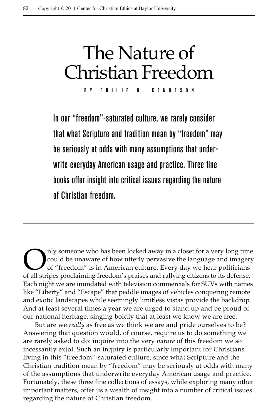# The Nature of Christian Freedom

By Phili p D. Kenneson

In our "freedom"-saturated culture, we rarely consider that what Scripture and tradition mean by "freedom" may be seriously at odds with many assumptions that underwrite everyday American usage and practice. Three fine books offer insight into critical issues regarding the nature of Christian freedom.

Only someone who has been locked away in a closet for a very long time<br>could be unaware of how utterly pervasive the language and imagery<br>of "freedom" is in American culture. Every day we hear politicians<br>of all strines pr could be unaware of how utterly pervasive the language and imagery of "freedom" is in American culture. Every day we hear politicians of all stripes proclaiming freedom's praises and rallying citizens to its defense. Each night we are inundated with television commercials for SUVs with names like "Liberty" and "Escape" that peddle images of vehicles conquering remote and exotic landscapes while seemingly limitless vistas provide the backdrop. And at least several times a year we are urged to stand up and be proud of our national heritage, singing boldly that at least we know we are free.

But are we *really* as free as we think we are and pride ourselves to be? Answering that question would, of course, require us to do something we are rarely asked to do: inquire into the very *nature* of this freedom we so incessantly extol. Such an inquiry is particularly important for Christians living in this "freedom"-saturated culture, since what Scripture and the Christian tradition mean by "freedom" may be seriously at odds with many of the assumptions that underwrite everyday American usage and practice. Fortunately, these three fine collections of essays, while exploring many other important matters, offer us a wealth of insight into a number of critical issues regarding the nature of Christian freedom.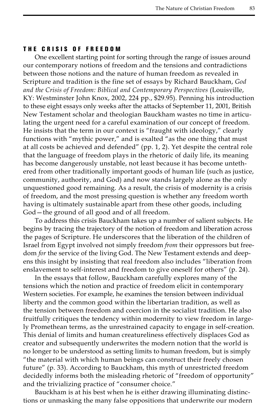#### The Crisis of F reedom

One excellent starting point for sorting through the range of issues around our contemporary notions of freedom and the tensions and contradictions between those notions and the nature of human freedom as revealed in Scripture and tradition is the fine set of essays by Richard Bauckham, *God and the Crisis of Freedom: Biblical and Contemporary Perspectives* (Louisville, KY: Westminster John Knox, 2002, 224 pp., \$29.95). Penning his introduction to these eight essays only weeks after the attacks of September 11, 2001, British New Testament scholar and theologian Bauckham wastes no time in articulating the urgent need for a careful examination of our concept of freedom. He insists that the term in our context is "fraught with ideology," clearly functions with "mythic power," and is exalted "as the one thing that must at all costs be achieved and defended" (pp. 1, 2). Yet despite the central role that the language of freedom plays in the rhetoric of daily life, its meaning has become dangerously unstable, not least because it has become untethered from other traditionally important goods of human life (such as justice, community, authority, and God) and now stands largely alone as the only unquestioned good remaining. As a result, the crisis of modernity is a crisis of freedom, and the most pressing question is whether any freedom worth having is ultimately sustainable apart from these other goods, including God—the ground of all good and of all freedom.

To address this crisis Bauckham takes up a number of salient subjects. He begins by tracing the trajectory of the notion of freedom and liberation across the pages of Scripture. He underscores that the liberation of the children of Israel from Egypt involved not simply freedom *from* their oppressors but freedom *for* the service of the living God. The New Testament extends and deepens this insight by insisting that real freedom also includes "liberation from enslavement to self-interest and freedom to give oneself for others" (p. 24).

In the essays that follow, Bauckham carefully explores many of the tensions which the notion and practice of freedom elicit in contemporary Western societies. For example, he examines the tension between individual liberty and the common good within the libertarian tradition, as well as the tension between freedom and coercion in the socialist tradition. He also fruitfully critiques the tendency within modernity to view freedom in largely Promethean terms, as the unrestrained capacity to engage in self-creation. This denial of limits and human creatureliness effectively displaces God as creator and subsequently underwrites the modern notion that the world is no longer to be understood as setting limits to human freedom, but is simply "the material with which human beings can construct their freely chosen future" (p. 33). According to Bauckham, this myth of unrestricted freedom decidedly informs both the misleading rhetoric of "freedom of opportunity" and the trivializing practice of "consumer choice."

Bauckham is at his best when he is either drawing illuminating distinctions or unmasking the many false oppositions that underwrite our modern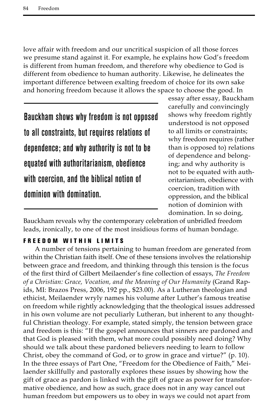love affair with freedom and our uncritical suspicion of all those forces we presume stand against it. For example, he explains how God's freedom is different from human freedom, and therefore why obedience to God is different from obedience to human authority. Likewise, he delineates the important difference between exalting freedom of choice for its own sake and honoring freedom because it allows the space to choose the good. In

Bauckham shows why freedom is not opposed to all constraints, but requires relations of dependence; and why authority is not to be equated with authoritarianism, obedience with coercion, and the biblical notion of dominion with domination.

essay after essay, Bauckham carefully and convincingly shows why freedom rightly understood is not opposed to all limits or constraints; why freedom requires (rather than is opposed to) relations of dependence and belonging; and why authority is not to be equated with authoritarianism, obedience with coercion, tradition with oppression, and the biblical notion of dominion with domination. In so doing,

Bauckham reveals why the contemporary celebration of unbridled freedom leads, ironically, to one of the most insidious forms of human bondage.

## FREEDOM WITHIN LIMITS

A number of tensions pertaining to human freedom are generated from within the Christian faith itself. One of these tensions involves the relationship between grace and freedom, and thinking through this tension is the focus of the first third of Gilbert Meilaender's fine collection of essays, *The Freedom of a Christian: Grace, Vocation, and the Meaning of Our Humanity* (Grand Rapids, MI: Brazos Press, 2006, 192 pp., \$23.00). As a Lutheran theologian and ethicist, Meilaender wryly names his volume after Luther's famous treatise on freedom while rightly acknowledging that the theological issues addressed in his own volume are not peculiarly Lutheran, but inherent to any thoughtful Christian theology. For example, stated simply, the tension between grace and freedom is this: "If the gospel announces that sinners are pardoned and that God is pleased with them, what more could possibly need doing? Why should we talk about these pardoned believers needing to learn to follow Christ, obey the command of God, or to grow in grace and virtue?" (p. 10). In the three essays of Part One, "Freedom for the Obedience of Faith," Meilaender skillfully and pastorally explores these issues by showing how the gift of grace as pardon is linked with the gift of grace as power for transformative obedience, and how as such, grace does not in any way cancel out human freedom but empowers us to obey in ways we could not apart from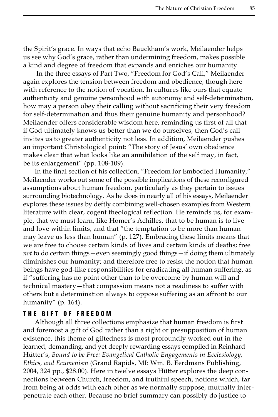the Spirit's grace. In ways that echo Bauckham's work, Meilaender helps us see why God's grace, rather than undermining freedom, makes possible a kind and degree of freedom that expands and enriches our humanity.

 In the three essays of Part Two, "Freedom for God's Call," Meilaender again explores the tension between freedom and obedience, though here with reference to the notion of vocation. In cultures like ours that equate authenticity and genuine personhood with autonomy and self-determination, how may a person obey their calling without sacrificing their very freedom for self-determination and thus their genuine humanity and personhood? Meilaender offers considerable wisdom here, reminding us first of all that if God ultimately knows us better than we do ourselves, then God's call invites us to greater authenticity not less. In addition, Meilaender pushes an important Christological point: "The story of Jesus' own obedience makes clear that what looks like an annihilation of the self may, in fact, be its enlargement" (pp. 108-109).

In the final section of his collection, "Freedom for Embodied Humanity," Meilaender works out some of the possible implications of these reconfigured assumptions about human freedom, particularly as they pertain to issues surrounding biotechnology. As he does in nearly all of his essays, Meilaender explores these issues by deftly combining well-chosen examples from Western literature with clear, cogent theological reflection. He reminds us, for example, that we must learn, like Homer's Achilles, that to be human is to live and love within limits, and that "the temptation to be more than human may leave us less than human" (p. 127). Embracing these limits means that we are free to choose certain kinds of lives and certain kinds of deaths; free *not* to do certain things—even seemingly good things—if doing them ultimately diminishes our humanity; and therefore free to resist the notion that human beings have god-like responsibilities for eradicating all human suffering, as if "suffering has no point other than to be overcome by human will and technical mastery—that compassion means not a readiness to suffer with others but a determination always to oppose suffering as an affront to our humanity" (p. 164).

#### THE GIFT OF FREEDOM

Although all three collections emphasize that human freedom is first and foremost a gift of God rather than a right or presupposition of human existence, this theme of giftedness is most profoundly worked out in the learned, demanding, and yet deeply rewarding essays compiled in Reinhard Hütter's, *Bound to be Free: Evangelical Catholic Engagements in Ecclesiology, Ethics, and Ecumenism* (Grand Rapids, MI: Wm. B. Eerdmans Publishing, 2004, 324 pp., \$28.00). Here in twelve essays Hütter explores the deep connections between Church, freedom, and truthful speech, notions which, far from being at odds with each other as we normally suppose, mutually interpenetrate each other. Because no brief summary can possibly do justice to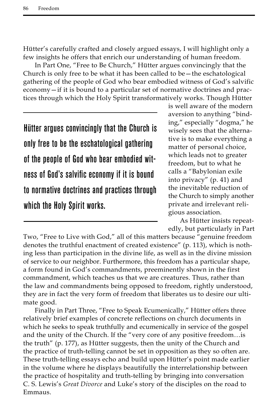Hütter's carefully crafted and closely argued essays, I will highlight only a few insights he offers that enrich our understanding of human freedom.

In Part One, "Free to Be Church," Hütter argues convincingly that the Church is only free to be what it has been called to be—the eschatological gathering of the people of God who bear embodied witness of God's salvific economy—if it is bound to a particular set of normative doctrines and practices through which the Holy Spirit transformatively works. Though Hütter

Hütter argues convincingly that the Church is only free to be the eschatological gathering of the people of God who bear embodied witness of God's salvific economy if it is bound to normative doctrines and practices through which the Holy Spirit works.

is well aware of the modern aversion to anything "binding," especially "dogma," he wisely sees that the alternative is to make everything a matter of personal choice, which leads not to greater freedom, but to what he calls a "Babylonian exile into privacy" (p. 41) and the inevitable reduction of the Church to simply another private and irrelevant religious association.

As Hütter insists repeatedly, but particularly in Part

Two, "Free to Live with God," all of this matters because "genuine freedom denotes the truthful enactment of created existence" (p. 113), which is nothing less than participation in the divine life, as well as in the divine mission of service to our neighbor. Furthermore, this freedom has a particular shape, a form found in God's commandments, preeminently shown in the first commandment, which teaches us that we are creatures. Thus, rather than the law and commandments being opposed to freedom, rightly understood, they are in fact the very form of freedom that liberates us to desire our ultimate good.

Finally in Part Three, "Free to Speak Ecumenically," Hütter offers three relatively brief examples of concrete reflections on church documents in which he seeks to speak truthfully and ecumenically in service of the gospel and the unity of the Church. If the "very core of any positive freedom…is the truth" (p. 177), as Hütter suggests, then the unity of the Church and the practice of truth-telling cannot be set in opposition as they so often are. These truth-telling essays echo and build upon Hütter's point made earlier in the volume where he displays beautifully the interrelationship between the practice of hospitality and truth-telling by bringing into conversation C. S. Lewis's *Great Divorce* and Luke's story of the disciples on the road to Emmaus.